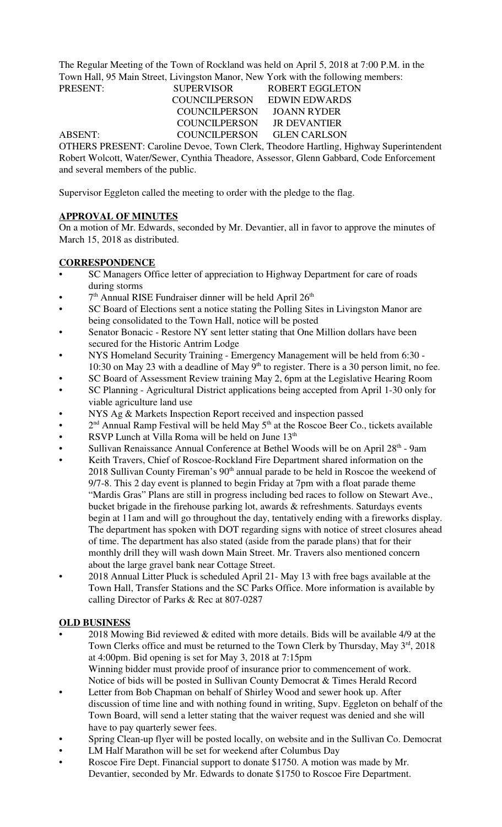The Regular Meeting of the Town of Rockland was held on April 5, 2018 at 7:00 P.M. in the Town Hall, 95 Main Street, Livingston Manor, New York with the following members:

| PRESENT:       | <b>SUPERVISOR</b>          | <b>ROBERT EGGLETON</b> |
|----------------|----------------------------|------------------------|
|                | COUNCILPERSON              | EDWIN EDWARDS          |
|                | COUNCILPERSON              | JOANN RYDER            |
|                | COUNCILPERSON              | IR DEVANTIER           |
| <b>ABSENT:</b> | COUNCILPERSON GLEN CARLSON |                        |
|                |                            |                        |

OTHERS PRESENT: Caroline Devoe, Town Clerk, Theodore Hartling, Highway Superintendent Robert Wolcott, Water/Sewer, Cynthia Theadore, Assessor, Glenn Gabbard, Code Enforcement and several members of the public.

Supervisor Eggleton called the meeting to order with the pledge to the flag.

# **APPROVAL OF MINUTES**

On a motion of Mr. Edwards, seconded by Mr. Devantier, all in favor to approve the minutes of March 15, 2018 as distributed.

### **CORRESPONDENCE**

- SC Managers Office letter of appreciation to Highway Department for care of roads during storms
- $7<sup>th</sup>$  Annual RISE Fundraiser dinner will be held April  $26<sup>th</sup>$
- SC Board of Elections sent a notice stating the Polling Sites in Livingston Manor are being consolidated to the Town Hall, notice will be posted
- Senator Bonacic Restore NY sent letter stating that One Million dollars have been secured for the Historic Antrim Lodge
- NYS Homeland Security Training Emergency Management will be held from 6:30 10:30 on May 23 with a deadline of May  $9<sup>th</sup>$  to register. There is a 30 person limit, no fee.
- SC Board of Assessment Review training May 2, 6pm at the Legislative Hearing Room
- SC Planning Agricultural District applications being accepted from April 1-30 only for viable agriculture land use
- NYS Ag & Markets Inspection Report received and inspection passed
- $2<sup>nd</sup>$  Annual Ramp Festival will be held May  $5<sup>th</sup>$  at the Roscoe Beer Co., tickets available
- RSVP Lunch at Villa Roma will be held on June 13<sup>th</sup>
- Sullivan Renaissance Annual Conference at Bethel Woods will be on April 28<sup>th</sup> 9am
- Keith Travers, Chief of Roscoe-Rockland Fire Department shared information on the 2018 Sullivan County Fireman's  $90<sup>th</sup>$  annual parade to be held in Roscoe the weekend of 9/7-8. This 2 day event is planned to begin Friday at 7pm with a float parade theme "Mardis Gras" Plans are still in progress including bed races to follow on Stewart Ave., bucket brigade in the firehouse parking lot, awards & refreshments. Saturdays events begin at 11am and will go throughout the day, tentatively ending with a fireworks display. The department has spoken with DOT regarding signs with notice of street closures ahead of time. The department has also stated (aside from the parade plans) that for their monthly drill they will wash down Main Street. Mr. Travers also mentioned concern about the large gravel bank near Cottage Street.
- 2018 Annual Litter Pluck is scheduled April 21- May 13 with free bags available at the Town Hall, Transfer Stations and the SC Parks Office. More information is available by calling Director of Parks & Rec at 807-0287

# **OLD BUSINESS**

- 2018 Mowing Bid reviewed  $&$  edited with more details. Bids will be available 4/9 at the Town Clerks office and must be returned to the Town Clerk by Thursday, May 3<sup>rd</sup>, 2018 at 4:00pm. Bid opening is set for May 3, 2018 at 7:15pm Winning bidder must provide proof of insurance prior to commencement of work. Notice of bids will be posted in Sullivan County Democrat & Times Herald Record
- Letter from Bob Chapman on behalf of Shirley Wood and sewer hook up. After discussion of time line and with nothing found in writing, Supv. Eggleton on behalf of the Town Board, will send a letter stating that the waiver request was denied and she will have to pay quarterly sewer fees.
- Spring Clean-up flyer will be posted locally, on website and in the Sullivan Co. Democrat
- LM Half Marathon will be set for weekend after Columbus Day
- Roscoe Fire Dept. Financial support to donate \$1750. A motion was made by Mr. Devantier, seconded by Mr. Edwards to donate \$1750 to Roscoe Fire Department.